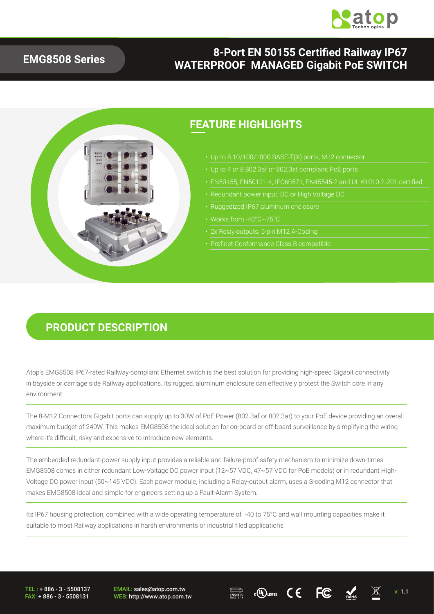

#### **EMG8508 Series**

#### **8-Port EN 50155 Certified Railway IP67 WATERPROOF MANAGED Gigabit PoE SWITCH**



#### **PRODUCT DESCRIPTION**

Atop's EMG8508 IP67-rated Railway-compliant Ethernet switch is the best solution for providing high-speed Gigabit connectivity in bayside or carriage side Railway applications. Its rugged, aluminum enclosure can effectively protect the Switch core in any environment.

The 8-M12 Connectors Gigabit ports can supply up to 30W of PoE Power (802.3af or 802.3at) to your PoE device providing an overall maximum budget of 240W. This makes EMG8508 the ideal solution for on-board or off-board surveillance by simplifying the wiring where it's difficult, risky and expensive to introduce new elements.

The embedded redundant-power supply input provides a reliable and failure-proof safety mechanism to minimize down-times. EMG8508 comes in either redundant Low-Voltage DC power input (12~57 VDC, 47~57 VDC for PoE models) or in redundant High-Voltage DC power input (50~145 VDC). Each power module, including a Relay-output alarm, uses a S-coding M12 connector that makes EMG8508 ideal and simple for engineers setting up a Fault-Alarm System.

Its IP67 housing protection, combined with a wide operating temperature of -40 to 75°C and wall mounting capacities make it suitable to most Railway applications in harsh environments or industrial filed applications

TEL : + 886 - 3 - 5508137 FAX: + 886 - 3 - 5508131 EMAIL: sales@atop.com.tw EMAIL: sales@atop.com.tw  $\overline{\text{RMS}}$  comes  $\overline{\text{WEB}}$ :  $\overline{\text{WCB}}$ :  $\overline{\text{WEB}}$   $\overline{\text{WEB}}$  v: 1.1



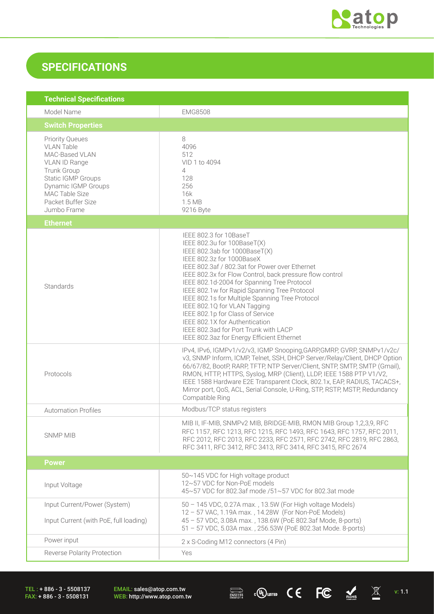

## **SPECIFICATIONS**

| <b>Technical Specifications</b>                                                                                                                                                                          |                                                                                                                                                                                                                                                                                                                                                                                                                                                                                                                                                                                  |  |  |
|----------------------------------------------------------------------------------------------------------------------------------------------------------------------------------------------------------|----------------------------------------------------------------------------------------------------------------------------------------------------------------------------------------------------------------------------------------------------------------------------------------------------------------------------------------------------------------------------------------------------------------------------------------------------------------------------------------------------------------------------------------------------------------------------------|--|--|
| Model Name                                                                                                                                                                                               | <b>EMG8508</b>                                                                                                                                                                                                                                                                                                                                                                                                                                                                                                                                                                   |  |  |
| <b>Switch Properties</b>                                                                                                                                                                                 |                                                                                                                                                                                                                                                                                                                                                                                                                                                                                                                                                                                  |  |  |
| <b>Priority Queues</b><br><b>VLAN Table</b><br>MAC-Based VLAN<br>VLAN ID Range<br><b>Trunk Group</b><br>Static IGMP Groups<br>Dynamic IGMP Groups<br>MAC Table Size<br>Packet Buffer Size<br>Jumbo Frame | 8<br>4096<br>512<br>VID 1 to 4094<br>4<br>128<br>256<br>16k<br>1.5 MB<br>9216 Byte                                                                                                                                                                                                                                                                                                                                                                                                                                                                                               |  |  |
| <b>Ethernet</b>                                                                                                                                                                                          |                                                                                                                                                                                                                                                                                                                                                                                                                                                                                                                                                                                  |  |  |
| Standards                                                                                                                                                                                                | IEEE 802.3 for 10BaseT<br>IEEE 802.3u for 100BaseT(X)<br>IEEE 802.3ab for 1000BaseT(X)<br>IEEE 802.3z for 1000BaseX<br>IEEE 802.3af / 802.3at for Power over Ethernet<br>IEEE 802.3x for Flow Control, back pressure flow control<br>IEEE 802.1d-2004 for Spanning Tree Protocol<br>IEEE 802.1w for Rapid Spanning Tree Protocol<br>IEEE 802.1s for Multiple Spanning Tree Protocol<br>IEEE 802.1Q for VLAN Tagging<br>IEEE 802.1p for Class of Service<br>IEEE 802.1X for Authentication<br>IEEE 802.3ad for Port Trunk with LACP<br>IEEE 802.3az for Energy Efficient Ethernet |  |  |
| Protocols                                                                                                                                                                                                | IPv4, IPv6, IGMPv1/v2/v3, IGMP Snooping, GARP, GMRP, GVRP, SNMPv1/v2c/<br>v3, SNMP Inform, ICMP, Telnet, SSH, DHCP Server/Relay/Client, DHCP Option<br>66/67/82, BootP, RARP, TFTP, NTP Server/Client, SNTP, SMTP, SMTP (Gmail),<br>RMON, HTTP, HTTPS, Syslog, MRP (Client), LLDP, IEEE 1588 PTP V1/V2,<br>IEEE 1588 Hardware E2E Transparent Clock, 802.1x, EAP, RADIUS, TACACS+,<br>Mirror port, QoS, ACL, Serial Console, U-Ring, STP, RSTP, MSTP, Redundancy<br>Compatible Ring                                                                                              |  |  |
| <b>Automation Profiles</b>                                                                                                                                                                               | Modbus/TCP status registers                                                                                                                                                                                                                                                                                                                                                                                                                                                                                                                                                      |  |  |
| <b>SNMP MIB</b>                                                                                                                                                                                          | MIB II, IF-MIB, SNMPv2 MIB, BRIDGE-MIB, RMON MIB Group 1,2,3,9, RFC<br>RFC 1157, RFC 1213, RFC 1215, RFC 1493, RFC 1643, RFC 1757, RFC 2011,<br>RFC 2012, RFC 2013, RFC 2233, RFC 2571, RFC 2742, RFC 2819, RFC 2863,<br>RFC 3411, RFC 3412, RFC 3413, RFC 3414, RFC 3415, RFC 2674                                                                                                                                                                                                                                                                                              |  |  |
| <b>Power</b>                                                                                                                                                                                             |                                                                                                                                                                                                                                                                                                                                                                                                                                                                                                                                                                                  |  |  |
| Input Voltage                                                                                                                                                                                            | 50~145 VDC for High voltage product<br>12~57 VDC for Non-PoE models<br>45~57 VDC for 802.3af mode /51~57 VDC for 802.3at mode                                                                                                                                                                                                                                                                                                                                                                                                                                                    |  |  |
| Input Current/Power (System)<br>Input Current (with PoE, full loading)                                                                                                                                   | 50 - 145 VDC, 0.27A max., 13.5W (For High voltage Models)<br>12 - 57 VAC, 1.19A max., 14.28W (For Non-PoE Models)<br>45 - 57 VDC, 3.08A max., 138.6W (PoE 802.3af Mode, 8-ports)<br>51 - 57 VDC, 5.03A max., 256.53W (PoE 802.3at Mode. 8-ports)                                                                                                                                                                                                                                                                                                                                 |  |  |
| Power input                                                                                                                                                                                              | 2 x S-Coding M12 connectors (4 Pin)                                                                                                                                                                                                                                                                                                                                                                                                                                                                                                                                              |  |  |
| Reverse Polarity Protection                                                                                                                                                                              | Yes                                                                                                                                                                                                                                                                                                                                                                                                                                                                                                                                                                              |  |  |

TEL : + 886 - 3 - 5508137 FAX: + 886 - 3 - 5508131

EMAIL: sales@atop.com.tw<br>WEB: http://www.atop.com.tw

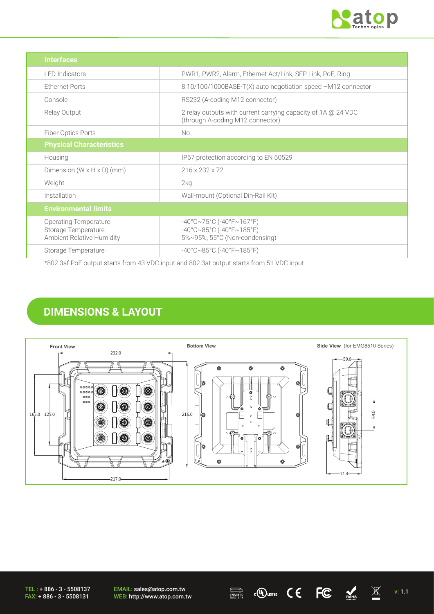

| <b>Interfaces</b>                                                                |                                                                                                                                       |
|----------------------------------------------------------------------------------|---------------------------------------------------------------------------------------------------------------------------------------|
| <b>LED</b> Indicators                                                            | PWR1, PWR2, Alarm, Ethernet Act/Link, SFP Link, PoE, Ring                                                                             |
| <b>Ethernet Ports</b>                                                            | 8 10/100/1000BASE-T(X) auto negotiation speed -M12 connector                                                                          |
| Console                                                                          | RS232 (A-coding M12 connector)                                                                                                        |
| Relay Output                                                                     | 2 relay outputs with current carrying capacity of 1A @ 24 VDC<br>(through A-coding M12 connector)                                     |
| Fiber Optics Ports                                                               | <b>No</b>                                                                                                                             |
| <b>Physical Characteristics</b>                                                  |                                                                                                                                       |
| Housing                                                                          | IP67 protection according to EN 60529                                                                                                 |
| Dimension $(W \times H \times D)$ (mm)                                           | 216 x 232 x 72                                                                                                                        |
| Weight                                                                           | 2kg                                                                                                                                   |
| Installation                                                                     | Wall-mount (Optional Din-Rail Kit)                                                                                                    |
| <b>Environmental limits</b>                                                      |                                                                                                                                       |
| <b>Operating Temperature</b><br>Storage Temperature<br>Ambient Relative Humidity | $-40^{\circ}$ C $\sim$ 75°C (-40°F $\sim$ 167°F)<br>$-40^{\circ}$ C $\sim$ 85°C (-40°F $\sim$ 185°F)<br>5%~95%, 55°C (Non-condensing) |
| Storage Temperature<br>---- - - - -                                              | $-40^{\circ}$ C $\sim$ 85°C (-40°F $\sim$ 185°F)                                                                                      |

\*802.3af PoE output starts from 43 VDC input and 802.3at output starts from 51 VDC input.

## **DIMENSIONS & LAYOUT**



TEL : + 886 - 3 - 5508137 FAX: + 886 - 3 - 5508131

EMAIL: sales@atop.com.tw EMAIL: sales@atop.com.tw  $\overline{\mathbb{R}^{\text{SUSY}}_{\text{RMSMIST}}^{\text{SUSY}}}\$  c(U) usted  $\overline{C}$   $\overline{C}$   $\overline{\mathbb{R}^{\text{SUSY}}_{\text{RMS}}}$  v: 1.1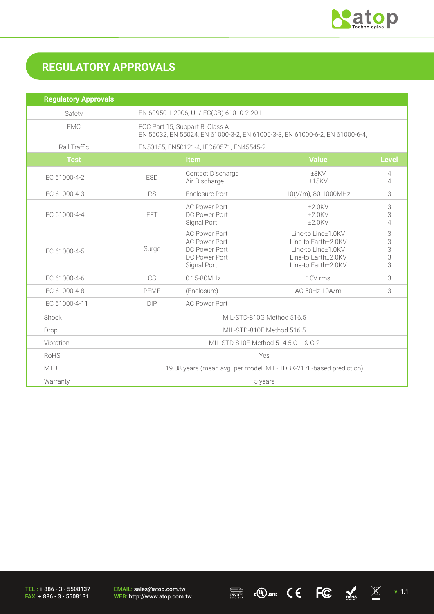

# **REGULATORY APPROVALS**

| <b>Regulatory Approvals</b> |                                                                                                                |                                                                                               |                                                                                                               |                                  |
|-----------------------------|----------------------------------------------------------------------------------------------------------------|-----------------------------------------------------------------------------------------------|---------------------------------------------------------------------------------------------------------------|----------------------------------|
| Safety                      | EN 60950-1:2006, UL/IEC(CB) 61010-2-201                                                                        |                                                                                               |                                                                                                               |                                  |
| <b>EMC</b>                  | FCC Part 15, Subpart B, Class A<br>EN 55032, EN 55024, EN 61000-3-2, EN 61000-3-3, EN 61000-6-2, EN 61000-6-4, |                                                                                               |                                                                                                               |                                  |
| Rail Traffic                | EN50155, EN50121-4, IEC60571, EN45545-2                                                                        |                                                                                               |                                                                                                               |                                  |
| <b>Test</b>                 | <b>Item</b>                                                                                                    |                                                                                               | <b>Value</b>                                                                                                  | <b>Level</b>                     |
| IEC 61000-4-2               | <b>ESD</b>                                                                                                     | Contact Discharge<br>Air Discharge                                                            | ±8KV<br>±15KV                                                                                                 | $\overline{4}$<br>$\overline{4}$ |
| IEC 61000-4-3               | <b>RS</b>                                                                                                      | Enclosure Port<br>10(V/m), 80-1000MHz                                                         |                                                                                                               | 3                                |
| IEC 61000-4-4               | <b>EFT</b>                                                                                                     | <b>AC Power Port</b><br>DC Power Port<br>Signal Port                                          | $±2.0$ KV<br>$±2.0$ KV<br>$±2.0$ KV                                                                           | 3<br>3<br>$\overline{4}$         |
| IEC 61000-4-5               | Surge                                                                                                          | <b>AC Power Port</b><br><b>AC Power Port</b><br>DC Power Port<br>DC Power Port<br>Signal Port | Line-to Line±1.0KV<br>Line-to Earth±2.0KV<br>Line-to Line±1.0KV<br>Line-to Earth±2.0KV<br>Line-to Earth±2.0KV | 3<br>3<br>3<br>3<br>3            |
| IEC 61000-4-6               | CS                                                                                                             | $0.15 - 80$ MHz                                                                               | 10V rms                                                                                                       | 3                                |
| IEC 61000-4-8               | PFMF                                                                                                           | (Enclosure)                                                                                   | AC 50Hz 10A/m                                                                                                 | 3                                |
| IEC 61000-4-11              | <b>DIP</b>                                                                                                     | <b>AC Power Port</b>                                                                          |                                                                                                               |                                  |
| Shock                       | MIL-STD-810G Method 516.5                                                                                      |                                                                                               |                                                                                                               |                                  |
| Drop                        | MIL-STD-810F Method 516.5                                                                                      |                                                                                               |                                                                                                               |                                  |
| Vibration                   | MIL-STD-810F Method 514.5 C-1 & C-2                                                                            |                                                                                               |                                                                                                               |                                  |
| RoHS                        | Yes                                                                                                            |                                                                                               |                                                                                                               |                                  |
| <b>MTBF</b>                 | 19.08 years (mean avg. per model; MIL-HDBK-217F-based prediction)                                              |                                                                                               |                                                                                                               |                                  |
| Warranty                    | 5 years                                                                                                        |                                                                                               |                                                                                                               |                                  |